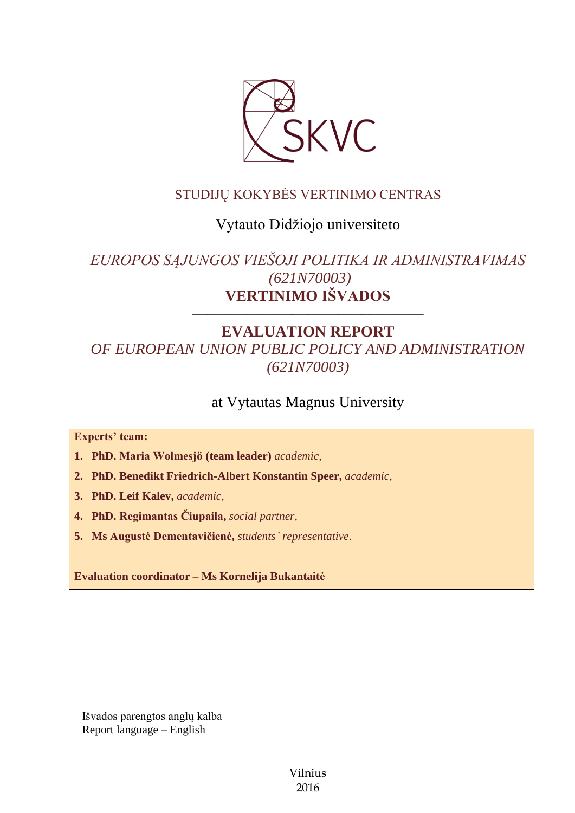

### STUDIJŲ KOKYBĖS VERTINIMO CENTRAS

### Vytauto Didžiojo universiteto

# *EUROPOS SĄJUNGOS VIEŠOJI POLITIKA IR ADMINISTRAVIMAS (621N70003)* **VERTINIMO IŠVADOS**

––––––––––––––––––––––––––––––

# **EVALUATION REPORT** *OF EUROPEAN UNION PUBLIC POLICY AND ADMINISTRATION (621N70003)*

## at Vytautas Magnus University

**Experts' team:** 

**1. PhD. Maria Wolmesjö (team leader)** *academic,*

**2. PhD. Benedikt Friedrich-Albert Konstantin Speer,** *academic,*

**3. PhD. Leif Kalev,** *academic,*

**4. PhD. Regimantas Čiupaila,** *social partner,*

**5. Ms Augustė Dementavičienė,** *students' representative*.

**Evaluation coordinator – Ms Kornelija Bukantaitė**

Išvados parengtos anglų kalba Report language – English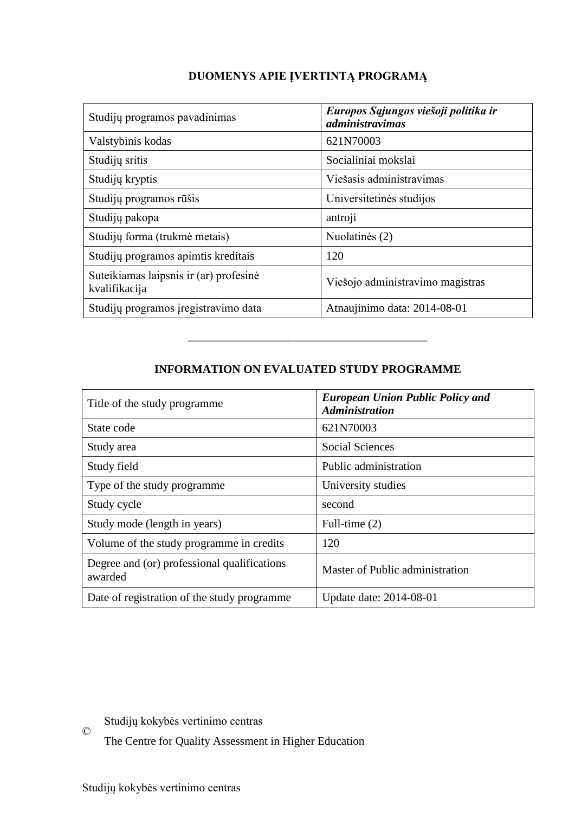| Studijų programos pavadinimas                           | Europos Sąjungos viešoji politika ir<br><i>administravimas</i> |
|---------------------------------------------------------|----------------------------------------------------------------|
| Valstybinis kodas                                       | 621N70003                                                      |
| Studijų sritis                                          | Socialiniai mokslai                                            |
| Studijų kryptis                                         | Viešasis administravimas                                       |
| Studijų programos rūšis                                 | Universitetinės studijos                                       |
| Studijų pakopa                                          | antroji                                                        |
| Studijų forma (trukmė metais)                           | Nuolatinės (2)                                                 |
| Studijų programos apimtis kreditais                     | 120                                                            |
| Suteikiamas laipsnis ir (ar) profesinė<br>kvalifikacija | Viešojo administravimo magistras                               |
| Studijų programos įregistravimo data                    | Atnaujinimo data: 2014-08-01                                   |

### **DUOMENYS APIE ĮVERTINTĄ PROGRAMĄ**

#### **INFORMATION ON EVALUATED STUDY PROGRAMME**

–––––––––––––––––––––––––––––––

| Title of the study programme.                          | <b>European Union Public Policy and</b><br><b>Administration</b> |
|--------------------------------------------------------|------------------------------------------------------------------|
| State code                                             | 621N70003                                                        |
| Study area                                             | <b>Social Sciences</b>                                           |
| Study field                                            | Public administration                                            |
| Type of the study programme                            | University studies                                               |
| Study cycle                                            | second                                                           |
| Study mode (length in years)                           | Full-time (2)                                                    |
| Volume of the study programme in credits               | 120                                                              |
| Degree and (or) professional qualifications<br>awarded | Master of Public administration                                  |
| Date of registration of the study programme            | Update date: 2014-08-01                                          |

© Studijų kokybės vertinimo centras

The Centre for Quality Assessment in Higher Education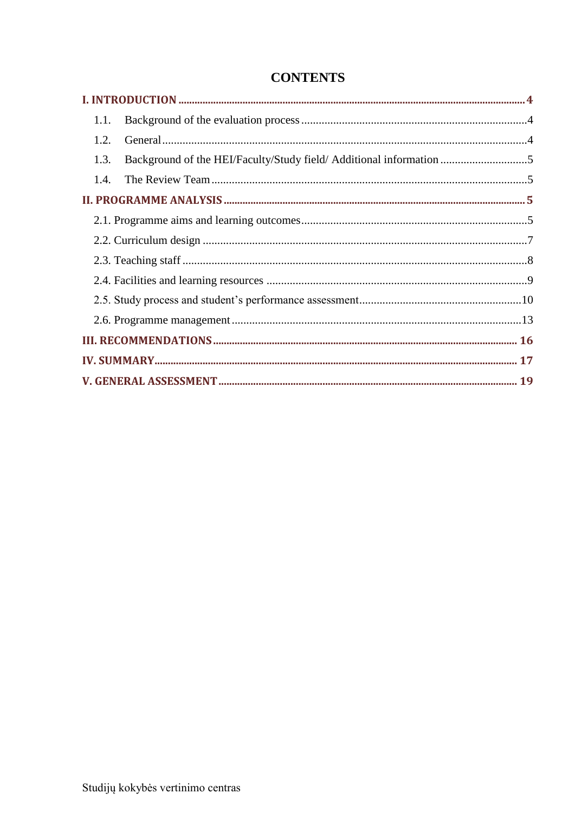| 1.1.                                                                        |  |
|-----------------------------------------------------------------------------|--|
| 1.2.                                                                        |  |
| Background of the HEI/Faculty/Study field/ Additional information 5<br>1.3. |  |
|                                                                             |  |
|                                                                             |  |
|                                                                             |  |
|                                                                             |  |
|                                                                             |  |
|                                                                             |  |
|                                                                             |  |
|                                                                             |  |
|                                                                             |  |
|                                                                             |  |
|                                                                             |  |

### **CONTENTS**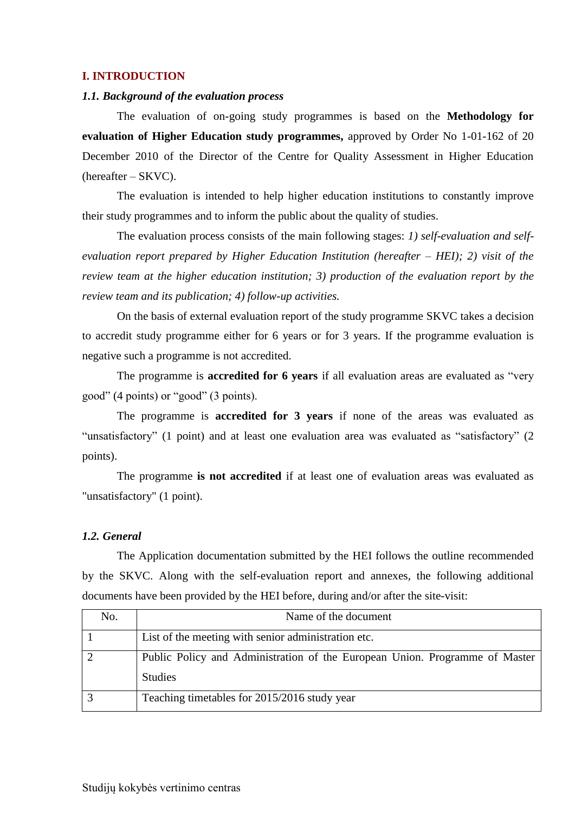#### <span id="page-3-0"></span>**I. INTRODUCTION**

#### <span id="page-3-1"></span>*1.1. Background of the evaluation process*

The evaluation of on-going study programmes is based on the **Methodology for evaluation of Higher Education study programmes,** approved by Order No 1-01-162 of 20 December 2010 of the Director of the Centre for Quality Assessment in Higher Education (hereafter – SKVC).

The evaluation is intended to help higher education institutions to constantly improve their study programmes and to inform the public about the quality of studies.

The evaluation process consists of the main following stages: *1) self-evaluation and selfevaluation report prepared by Higher Education Institution (hereafter – HEI); 2) visit of the review team at the higher education institution; 3) production of the evaluation report by the review team and its publication; 4) follow-up activities.* 

On the basis of external evaluation report of the study programme SKVC takes a decision to accredit study programme either for 6 years or for 3 years. If the programme evaluation is negative such a programme is not accredited.

The programme is **accredited for 6 years** if all evaluation areas are evaluated as "very good" (4 points) or "good" (3 points).

The programme is **accredited for 3 years** if none of the areas was evaluated as "unsatisfactory" (1 point) and at least one evaluation area was evaluated as "satisfactory" (2 points).

The programme **is not accredited** if at least one of evaluation areas was evaluated as "unsatisfactory" (1 point).

#### <span id="page-3-2"></span>*1.2. General*

The Application documentation submitted by the HEI follows the outline recommended by the SKVC. Along with the self-evaluation report and annexes, the following additional documents have been provided by the HEI before, during and/or after the site-visit:

| No. | Name of the document                                                        |
|-----|-----------------------------------------------------------------------------|
|     | List of the meeting with senior administration etc.                         |
|     | Public Policy and Administration of the European Union. Programme of Master |
|     | <b>Studies</b>                                                              |
|     | Teaching timetables for 2015/2016 study year                                |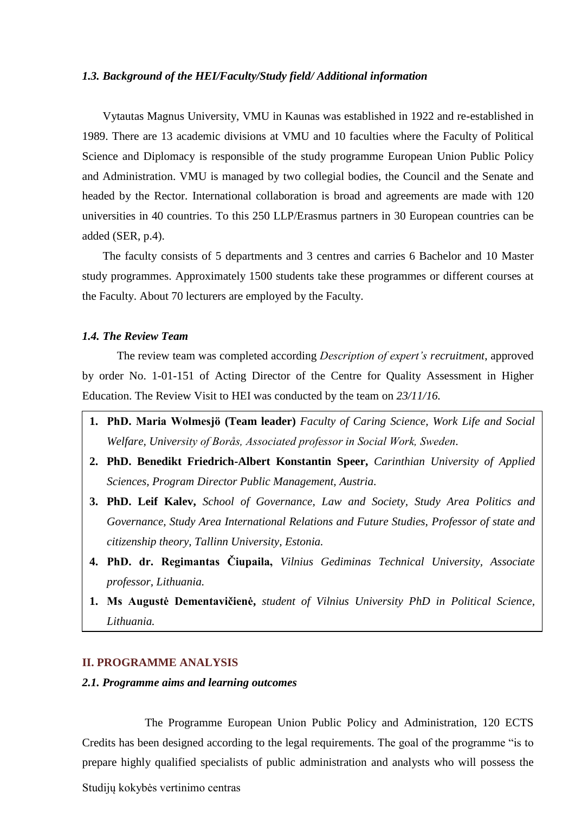#### <span id="page-4-0"></span>*1.3. Background of the HEI/Faculty/Study field/ Additional information*

Vytautas Magnus University, VMU in Kaunas was established in 1922 and re-established in 1989. There are 13 academic divisions at VMU and 10 faculties where the Faculty of Political Science and Diplomacy is responsible of the study programme European Union Public Policy and Administration. VMU is managed by two collegial bodies, the Council and the Senate and headed by the Rector. International collaboration is broad and agreements are made with 120 universities in 40 countries. To this 250 LLP/Erasmus partners in 30 European countries can be added (SER, p.4).

The faculty consists of 5 departments and 3 centres and carries 6 Bachelor and 10 Master study programmes. Approximately 1500 students take these programmes or different courses at the Faculty. About 70 lecturers are employed by the Faculty.

#### <span id="page-4-1"></span>*1.4. The Review Team*

The review team was completed according *Description of expert's recruitment*, approved by order No. 1-01-151 of Acting Director of the Centre for Quality Assessment in Higher Education. The Review Visit to HEI was conducted by the team on *23/11/16.*

- **1. PhD. Maria Wolmesjö (Team leader)** *Faculty of Caring Science, Work Life and Social Welfare, University of Borås, Associated professor in Social Work, Sweden.*
- **2. PhD. Benedikt Friedrich-Albert Konstantin Speer,** *Carinthian University of Applied Sciences, Program Director Public Management, Austria.*
- **3. PhD. Leif Kalev,** *School of Governance, Law and Society, Study Area Politics and Governance, Study Area International Relations and Future Studies, Professor of state and citizenship theory, Tallinn University, Estonia.*
- **4. PhD. dr. Regimantas Čiupaila,** *Vilnius Gediminas Technical University, Associate professor, Lithuania.*
- **1. Ms Augustė Dementavičienė,** *student of Vilnius University PhD in Political Science, Lithuania.*

#### <span id="page-4-2"></span>**II. PROGRAMME ANALYSIS**

#### <span id="page-4-3"></span>*2.1. Programme aims and learning outcomes*

The Programme European Union Public Policy and Administration, 120 ECTS Credits has been designed according to the legal requirements. The goal of the programme "is to prepare highly qualified specialists of public administration and analysts who will possess the

Studijų kokybės vertinimo centras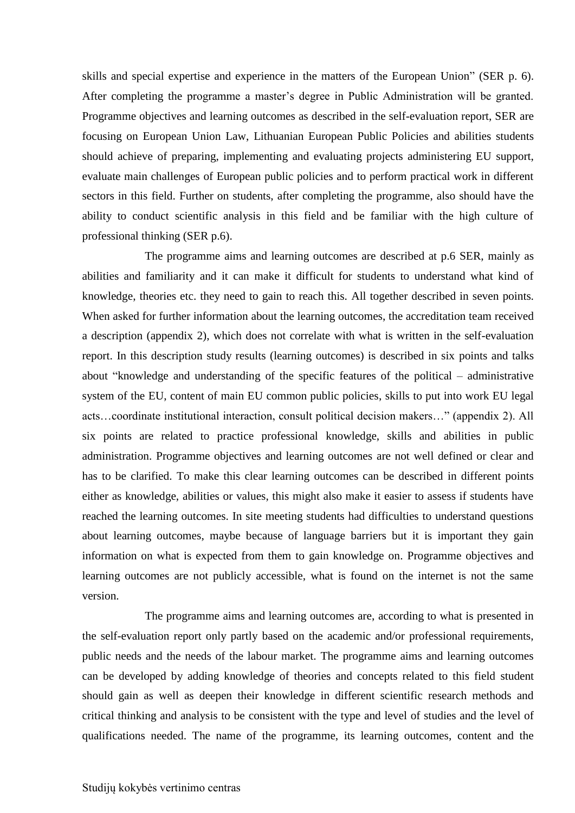skills and special expertise and experience in the matters of the European Union" (SER p. 6). After completing the programme a master's degree in Public Administration will be granted. Programme objectives and learning outcomes as described in the self-evaluation report, SER are focusing on European Union Law, Lithuanian European Public Policies and abilities students should achieve of preparing, implementing and evaluating projects administering EU support, evaluate main challenges of European public policies and to perform practical work in different sectors in this field. Further on students, after completing the programme, also should have the ability to conduct scientific analysis in this field and be familiar with the high culture of professional thinking (SER p.6).

The programme aims and learning outcomes are described at p.6 SER, mainly as abilities and familiarity and it can make it difficult for students to understand what kind of knowledge, theories etc. they need to gain to reach this. All together described in seven points. When asked for further information about the learning outcomes, the accreditation team received a description (appendix 2), which does not correlate with what is written in the self-evaluation report. In this description study results (learning outcomes) is described in six points and talks about "knowledge and understanding of the specific features of the political – administrative system of the EU, content of main EU common public policies, skills to put into work EU legal acts…coordinate institutional interaction, consult political decision makers…" (appendix 2). All six points are related to practice professional knowledge, skills and abilities in public administration. Programme objectives and learning outcomes are not well defined or clear and has to be clarified. To make this clear learning outcomes can be described in different points either as knowledge, abilities or values, this might also make it easier to assess if students have reached the learning outcomes. In site meeting students had difficulties to understand questions about learning outcomes, maybe because of language barriers but it is important they gain information on what is expected from them to gain knowledge on. Programme objectives and learning outcomes are not publicly accessible, what is found on the internet is not the same version.

The programme aims and learning outcomes are, according to what is presented in the self-evaluation report only partly based on the academic and/or professional requirements, public needs and the needs of the labour market. The programme aims and learning outcomes can be developed by adding knowledge of theories and concepts related to this field student should gain as well as deepen their knowledge in different scientific research methods and critical thinking and analysis to be consistent with the type and level of studies and the level of qualifications needed. The name of the programme, its learning outcomes, content and the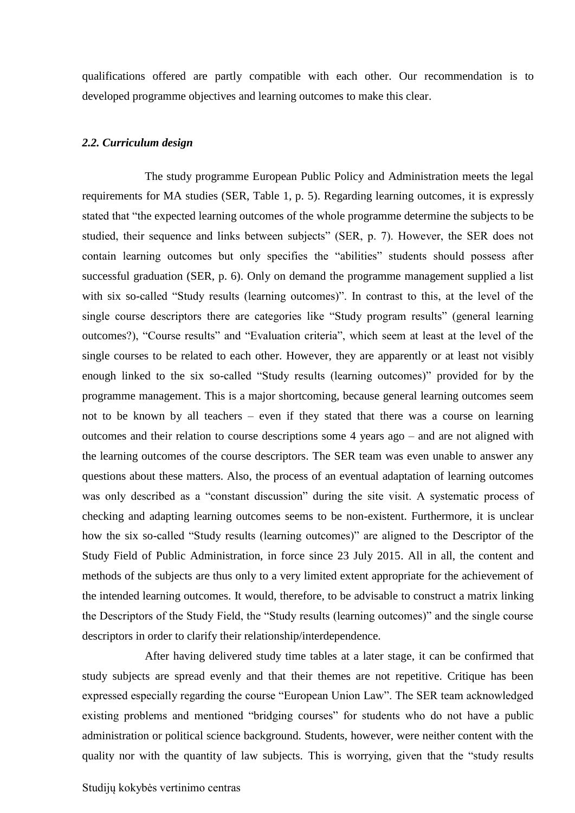qualifications offered are partly compatible with each other. Our recommendation is to developed programme objectives and learning outcomes to make this clear.

#### <span id="page-6-0"></span>*2.2. Curriculum design*

The study programme European Public Policy and Administration meets the legal requirements for MA studies (SER, Table 1, p. 5). Regarding learning outcomes, it is expressly stated that "the expected learning outcomes of the whole programme determine the subjects to be studied, their sequence and links between subjects" (SER, p. 7). However, the SER does not contain learning outcomes but only specifies the "abilities" students should possess after successful graduation (SER, p. 6). Only on demand the programme management supplied a list with six so-called "Study results (learning outcomes)". In contrast to this, at the level of the single course descriptors there are categories like "Study program results" (general learning outcomes?), "Course results" and "Evaluation criteria", which seem at least at the level of the single courses to be related to each other. However, they are apparently or at least not visibly enough linked to the six so-called "Study results (learning outcomes)" provided for by the programme management. This is a major shortcoming, because general learning outcomes seem not to be known by all teachers – even if they stated that there was a course on learning outcomes and their relation to course descriptions some 4 years ago – and are not aligned with the learning outcomes of the course descriptors. The SER team was even unable to answer any questions about these matters. Also, the process of an eventual adaptation of learning outcomes was only described as a "constant discussion" during the site visit. A systematic process of checking and adapting learning outcomes seems to be non-existent. Furthermore, it is unclear how the six so-called "Study results (learning outcomes)" are aligned to the Descriptor of the Study Field of Public Administration, in force since 23 July 2015. All in all, the content and methods of the subjects are thus only to a very limited extent appropriate for the achievement of the intended learning outcomes. It would, therefore, to be advisable to construct a matrix linking the Descriptors of the Study Field, the "Study results (learning outcomes)" and the single course descriptors in order to clarify their relationship/interdependence.

After having delivered study time tables at a later stage, it can be confirmed that study subjects are spread evenly and that their themes are not repetitive. Critique has been expressed especially regarding the course "European Union Law". The SER team acknowledged existing problems and mentioned "bridging courses" for students who do not have a public administration or political science background. Students, however, were neither content with the quality nor with the quantity of law subjects. This is worrying, given that the "study results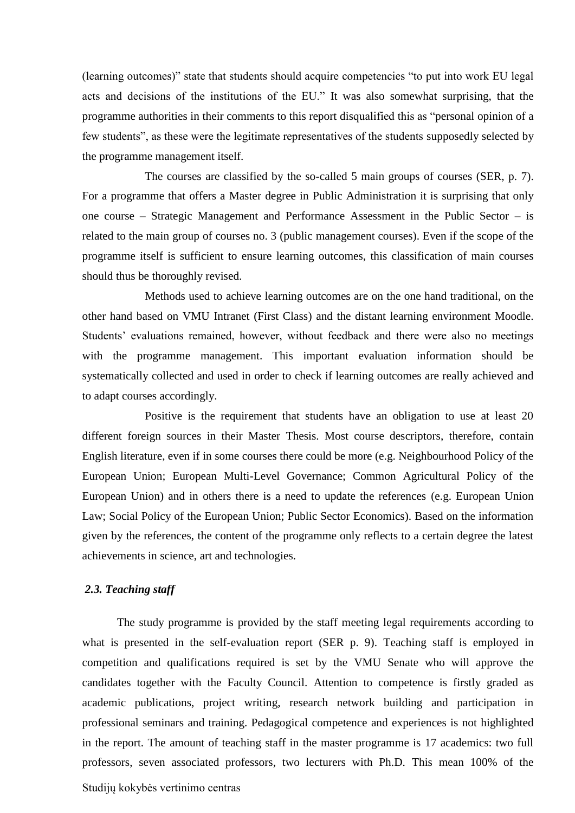(learning outcomes)" state that students should acquire competencies "to put into work EU legal acts and decisions of the institutions of the EU." It was also somewhat surprising, that the programme authorities in their comments to this report disqualified this as "personal opinion of a few students", as these were the legitimate representatives of the students supposedly selected by the programme management itself.

The courses are classified by the so-called 5 main groups of courses (SER, p. 7). For a programme that offers a Master degree in Public Administration it is surprising that only one course – Strategic Management and Performance Assessment in the Public Sector – is related to the main group of courses no. 3 (public management courses). Even if the scope of the programme itself is sufficient to ensure learning outcomes, this classification of main courses should thus be thoroughly revised.

Methods used to achieve learning outcomes are on the one hand traditional, on the other hand based on VMU Intranet (First Class) and the distant learning environment Moodle. Students' evaluations remained, however, without feedback and there were also no meetings with the programme management. This important evaluation information should be systematically collected and used in order to check if learning outcomes are really achieved and to adapt courses accordingly.

Positive is the requirement that students have an obligation to use at least 20 different foreign sources in their Master Thesis. Most course descriptors, therefore, contain English literature, even if in some courses there could be more (e.g. Neighbourhood Policy of the European Union; European Multi-Level Governance; Common Agricultural Policy of the European Union) and in others there is a need to update the references (e.g. European Union Law; Social Policy of the European Union; Public Sector Economics). Based on the information given by the references, the content of the programme only reflects to a certain degree the latest achievements in science, art and technologies.

#### <span id="page-7-0"></span>*2.3. Teaching staff*

The study programme is provided by the staff meeting legal requirements according to what is presented in the self-evaluation report (SER p. 9). Teaching staff is employed in competition and qualifications required is set by the VMU Senate who will approve the candidates together with the Faculty Council. Attention to competence is firstly graded as academic publications, project writing, research network building and participation in professional seminars and training. Pedagogical competence and experiences is not highlighted in the report. The amount of teaching staff in the master programme is 17 academics: two full professors, seven associated professors, two lecturers with Ph.D. This mean 100% of the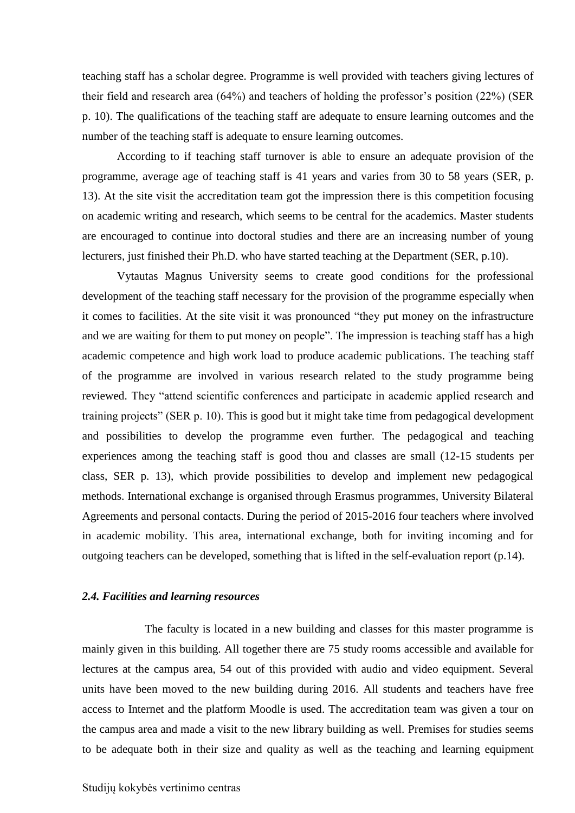teaching staff has a scholar degree. Programme is well provided with teachers giving lectures of their field and research area (64%) and teachers of holding the professor's position (22%) (SER p. 10). The qualifications of the teaching staff are adequate to ensure learning outcomes and the number of the teaching staff is adequate to ensure learning outcomes.

According to if teaching staff turnover is able to ensure an adequate provision of the programme, average age of teaching staff is 41 years and varies from 30 to 58 years (SER, p. 13). At the site visit the accreditation team got the impression there is this competition focusing on academic writing and research, which seems to be central for the academics. Master students are encouraged to continue into doctoral studies and there are an increasing number of young lecturers, just finished their Ph.D. who have started teaching at the Department (SER, p.10).

Vytautas Magnus University seems to create good conditions for the professional development of the teaching staff necessary for the provision of the programme especially when it comes to facilities. At the site visit it was pronounced "they put money on the infrastructure and we are waiting for them to put money on people". The impression is teaching staff has a high academic competence and high work load to produce academic publications. The teaching staff of the programme are involved in various research related to the study programme being reviewed. They "attend scientific conferences and participate in academic applied research and training projects" (SER p. 10). This is good but it might take time from pedagogical development and possibilities to develop the programme even further. The pedagogical and teaching experiences among the teaching staff is good thou and classes are small (12-15 students per class, SER p. 13), which provide possibilities to develop and implement new pedagogical methods. International exchange is organised through Erasmus programmes, University Bilateral Agreements and personal contacts. During the period of 2015-2016 four teachers where involved in academic mobility. This area, international exchange, both for inviting incoming and for outgoing teachers can be developed, something that is lifted in the self-evaluation report (p.14).

#### <span id="page-8-0"></span>*2.4. Facilities and learning resources*

The faculty is located in a new building and classes for this master programme is mainly given in this building. All together there are 75 study rooms accessible and available for lectures at the campus area, 54 out of this provided with audio and video equipment. Several units have been moved to the new building during 2016. All students and teachers have free access to Internet and the platform Moodle is used. The accreditation team was given a tour on the campus area and made a visit to the new library building as well. Premises for studies seems to be adequate both in their size and quality as well as the teaching and learning equipment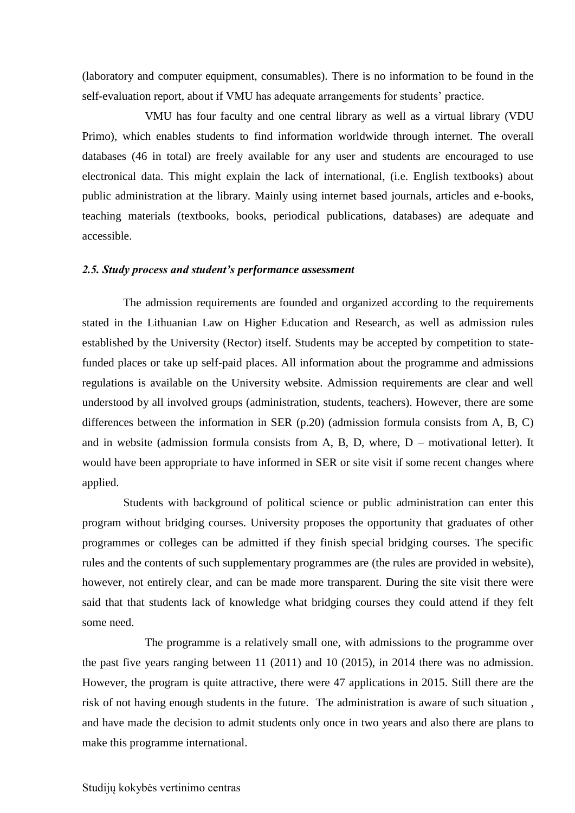(laboratory and computer equipment, consumables). There is no information to be found in the self-evaluation report, about if VMU has adequate arrangements for students' practice.

VMU has four faculty and one central library as well as a virtual library (VDU Primo), which enables students to find information worldwide through internet. The overall databases (46 in total) are freely available for any user and students are encouraged to use electronical data. This might explain the lack of international, (i.e. English textbooks) about public administration at the library. Mainly using internet based journals, articles and e-books, teaching materials (textbooks, books, periodical publications, databases) are adequate and accessible.

#### <span id="page-9-0"></span>*2.5. Study process and student's performance assessment*

The admission requirements are founded and organized according to the requirements stated in the Lithuanian Law on Higher Education and Research, as well as admission rules established by the University (Rector) itself. Students may be accepted by competition to statefunded places or take up self-paid places. All information about the programme and admissions regulations is available on the University website. Admission requirements are clear and well understood by all involved groups (administration, students, teachers). However, there are some differences between the information in SER (p.20) (admission formula consists from A, B, C) and in website (admission formula consists from  $A$ ,  $B$ ,  $D$ , where,  $D$  – motivational letter). It would have been appropriate to have informed in SER or site visit if some recent changes where applied.

Students with background of political science or public administration can enter this program without bridging courses. University proposes the opportunity that graduates of other programmes or colleges can be admitted if they finish special bridging courses. The specific rules and the contents of such supplementary programmes are (the rules are provided in website), however, not entirely clear, and can be made more transparent. During the site visit there were said that that students lack of knowledge what bridging courses they could attend if they felt some need.

The programme is a relatively small one, with admissions to the programme over the past five years ranging between 11 (2011) and 10 (2015), in 2014 there was no admission. However, the program is quite attractive, there were 47 applications in 2015. Still there are the risk of not having enough students in the future. The administration is aware of such situation , and have made the decision to admit students only once in two years and also there are plans to make this programme international.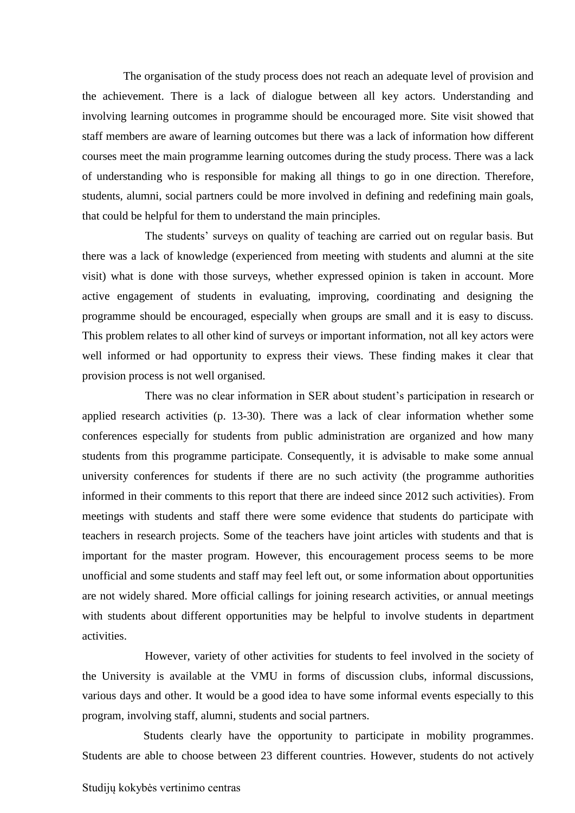The organisation of the study process does not reach an adequate level of provision and the achievement. There is a lack of dialogue between all key actors. Understanding and involving learning outcomes in programme should be encouraged more. Site visit showed that staff members are aware of learning outcomes but there was a lack of information how different courses meet the main programme learning outcomes during the study process. There was a lack of understanding who is responsible for making all things to go in one direction. Therefore, students, alumni, social partners could be more involved in defining and redefining main goals, that could be helpful for them to understand the main principles.

The students' surveys on quality of teaching are carried out on regular basis. But there was a lack of knowledge (experienced from meeting with students and alumni at the site visit) what is done with those surveys, whether expressed opinion is taken in account. More active engagement of students in evaluating, improving, coordinating and designing the programme should be encouraged, especially when groups are small and it is easy to discuss. This problem relates to all other kind of surveys or important information, not all key actors were well informed or had opportunity to express their views. These finding makes it clear that provision process is not well organised.

There was no clear information in SER about student's participation in research or applied research activities (p. 13-30). There was a lack of clear information whether some conferences especially for students from public administration are organized and how many students from this programme participate. Consequently, it is advisable to make some annual university conferences for students if there are no such activity (the programme authorities informed in their comments to this report that there are indeed since 2012 such activities). From meetings with students and staff there were some evidence that students do participate with teachers in research projects. Some of the teachers have joint articles with students and that is important for the master program. However, this encouragement process seems to be more unofficial and some students and staff may feel left out, or some information about opportunities are not widely shared. More official callings for joining research activities, or annual meetings with students about different opportunities may be helpful to involve students in department activities.

However, variety of other activities for students to feel involved in the society of the University is available at the VMU in forms of discussion clubs, informal discussions, various days and other. It would be a good idea to have some informal events especially to this program, involving staff, alumni, students and social partners.

 Students clearly have the opportunity to participate in mobility programmes. Students are able to choose between 23 different countries. However, students do not actively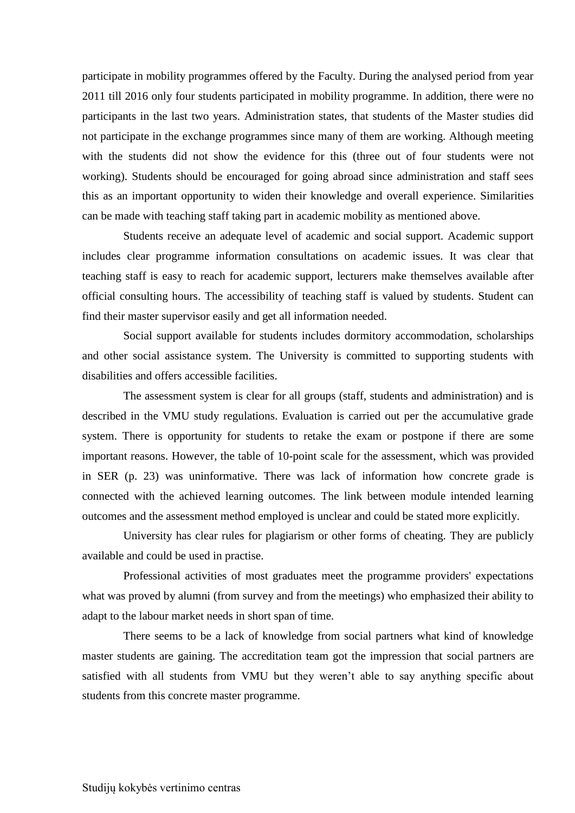participate in mobility programmes offered by the Faculty. During the analysed period from year 2011 till 2016 only four students participated in mobility programme. In addition, there were no participants in the last two years. Administration states, that students of the Master studies did not participate in the exchange programmes since many of them are working. Although meeting with the students did not show the evidence for this (three out of four students were not working). Students should be encouraged for going abroad since administration and staff sees this as an important opportunity to widen their knowledge and overall experience. Similarities can be made with teaching staff taking part in academic mobility as mentioned above.

Students receive an adequate level of academic and social support. Academic support includes clear programme information consultations on academic issues. It was clear that teaching staff is easy to reach for academic support, lecturers make themselves available after official consulting hours. The accessibility of teaching staff is valued by students. Student can find their master supervisor easily and get all information needed.

Social support available for students includes dormitory accommodation, scholarships and other social assistance system. The University is committed to supporting students with disabilities and offers accessible facilities.

The assessment system is clear for all groups (staff, students and administration) and is described in the VMU study regulations. Evaluation is carried out per the accumulative grade system. There is opportunity for students to retake the exam or postpone if there are some important reasons. However, the table of 10-point scale for the assessment, which was provided in SER (p. 23) was uninformative. There was lack of information how concrete grade is connected with the achieved learning outcomes. The link between module intended learning outcomes and the assessment method employed is unclear and could be stated more explicitly.

University has clear rules for plagiarism or other forms of cheating. They are publicly available and could be used in practise.

Professional activities of most graduates meet the programme providers' expectations what was proved by alumni (from survey and from the meetings) who emphasized their ability to adapt to the labour market needs in short span of time.

There seems to be a lack of knowledge from social partners what kind of knowledge master students are gaining. The accreditation team got the impression that social partners are satisfied with all students from VMU but they weren't able to say anything specific about students from this concrete master programme.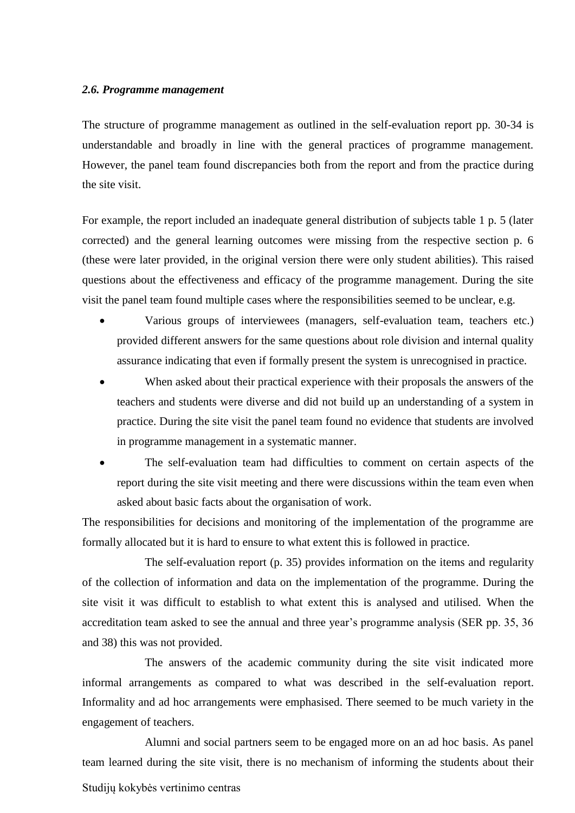#### <span id="page-12-0"></span>*2.6. Programme management*

The structure of programme management as outlined in the self-evaluation report pp. 30-34 is understandable and broadly in line with the general practices of programme management. However, the panel team found discrepancies both from the report and from the practice during the site visit.

For example, the report included an inadequate general distribution of subjects table 1 p. 5 (later corrected) and the general learning outcomes were missing from the respective section p. 6 (these were later provided, in the original version there were only student abilities). This raised questions about the effectiveness and efficacy of the programme management. During the site visit the panel team found multiple cases where the responsibilities seemed to be unclear, e.g.

- Various groups of interviewees (managers, self-evaluation team, teachers etc.) provided different answers for the same questions about role division and internal quality assurance indicating that even if formally present the system is unrecognised in practice.
- When asked about their practical experience with their proposals the answers of the teachers and students were diverse and did not build up an understanding of a system in practice. During the site visit the panel team found no evidence that students are involved in programme management in a systematic manner.
- The self-evaluation team had difficulties to comment on certain aspects of the report during the site visit meeting and there were discussions within the team even when asked about basic facts about the organisation of work.

The responsibilities for decisions and monitoring of the implementation of the programme are formally allocated but it is hard to ensure to what extent this is followed in practice.

The self-evaluation report (p. 35) provides information on the items and regularity of the collection of information and data on the implementation of the programme. During the site visit it was difficult to establish to what extent this is analysed and utilised. When the accreditation team asked to see the annual and three year's programme analysis (SER pp. 35, 36 and 38) this was not provided.

The answers of the academic community during the site visit indicated more informal arrangements as compared to what was described in the self-evaluation report. Informality and ad hoc arrangements were emphasised. There seemed to be much variety in the engagement of teachers.

Studijų kokybės vertinimo centras Alumni and social partners seem to be engaged more on an ad hoc basis. As panel team learned during the site visit, there is no mechanism of informing the students about their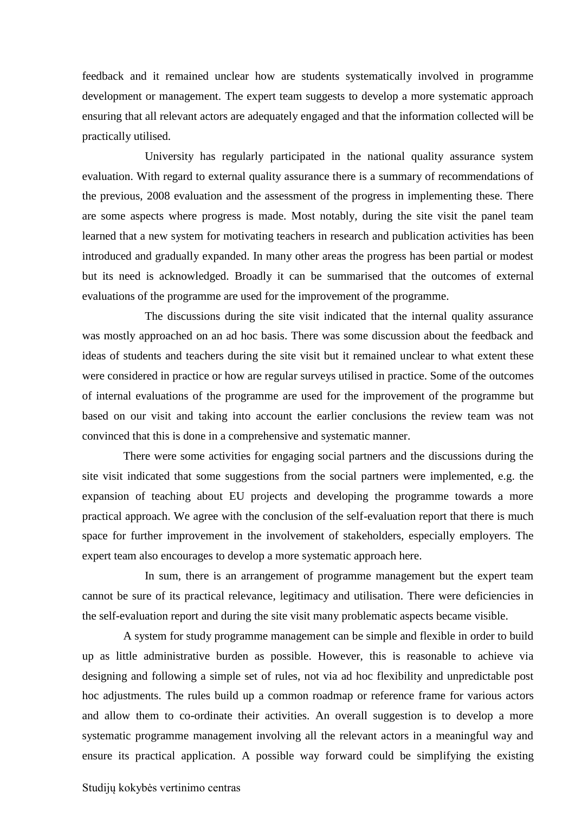feedback and it remained unclear how are students systematically involved in programme development or management. The expert team suggests to develop a more systematic approach ensuring that all relevant actors are adequately engaged and that the information collected will be practically utilised.

University has regularly participated in the national quality assurance system evaluation. With regard to external quality assurance there is a summary of recommendations of the previous, 2008 evaluation and the assessment of the progress in implementing these. There are some aspects where progress is made. Most notably, during the site visit the panel team learned that a new system for motivating teachers in research and publication activities has been introduced and gradually expanded. In many other areas the progress has been partial or modest but its need is acknowledged. Broadly it can be summarised that the outcomes of external evaluations of the programme are used for the improvement of the programme.

The discussions during the site visit indicated that the internal quality assurance was mostly approached on an ad hoc basis. There was some discussion about the feedback and ideas of students and teachers during the site visit but it remained unclear to what extent these were considered in practice or how are regular surveys utilised in practice. Some of the outcomes of internal evaluations of the programme are used for the improvement of the programme but based on our visit and taking into account the earlier conclusions the review team was not convinced that this is done in a comprehensive and systematic manner.

There were some activities for engaging social partners and the discussions during the site visit indicated that some suggestions from the social partners were implemented, e.g. the expansion of teaching about EU projects and developing the programme towards a more practical approach. We agree with the conclusion of the self-evaluation report that there is much space for further improvement in the involvement of stakeholders, especially employers. The expert team also encourages to develop a more systematic approach here.

In sum, there is an arrangement of programme management but the expert team cannot be sure of its practical relevance, legitimacy and utilisation. There were deficiencies in the self-evaluation report and during the site visit many problematic aspects became visible.

A system for study programme management can be simple and flexible in order to build up as little administrative burden as possible. However, this is reasonable to achieve via designing and following a simple set of rules, not via ad hoc flexibility and unpredictable post hoc adjustments. The rules build up a common roadmap or reference frame for various actors and allow them to co-ordinate their activities. An overall suggestion is to develop a more systematic programme management involving all the relevant actors in a meaningful way and ensure its practical application. A possible way forward could be simplifying the existing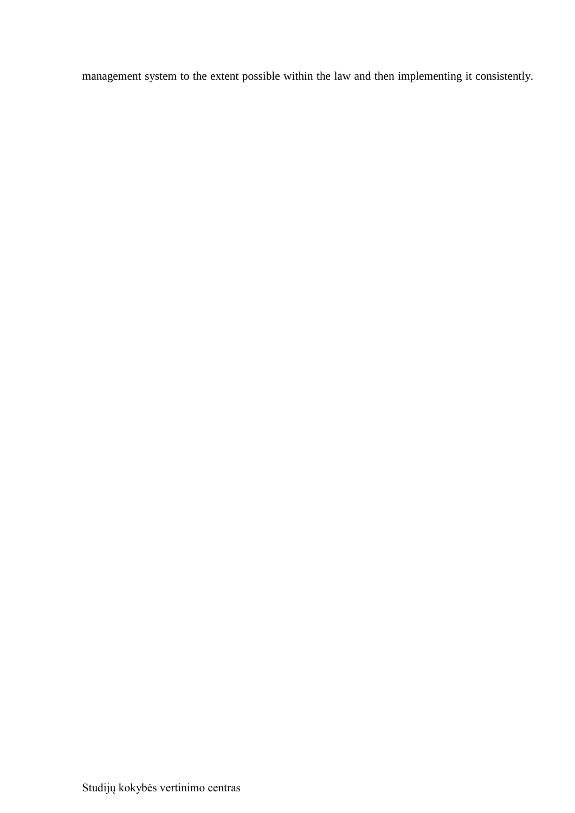management system to the extent possible within the law and then implementing it consistently.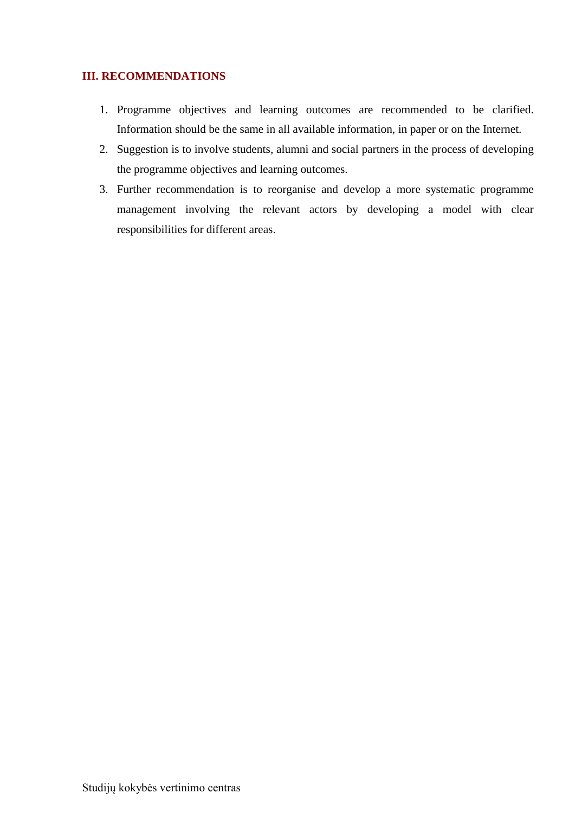#### <span id="page-15-0"></span>**III. RECOMMENDATIONS**

- 1. Programme objectives and learning outcomes are recommended to be clarified. Information should be the same in all available information, in paper or on the Internet.
- 2. Suggestion is to involve students, alumni and social partners in the process of developing the programme objectives and learning outcomes.
- 3. Further recommendation is to reorganise and develop a more systematic programme management involving the relevant actors by developing a model with clear responsibilities for different areas.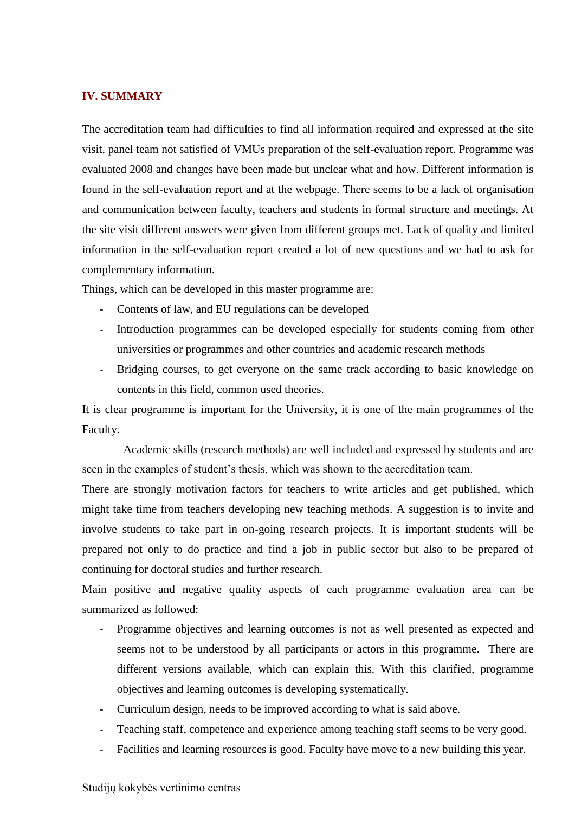#### <span id="page-16-0"></span>**IV. SUMMARY**

The accreditation team had difficulties to find all information required and expressed at the site visit, panel team not satisfied of VMUs preparation of the self-evaluation report. Programme was evaluated 2008 and changes have been made but unclear what and how. Different information is found in the self-evaluation report and at the webpage. There seems to be a lack of organisation and communication between faculty, teachers and students in formal structure and meetings. At the site visit different answers were given from different groups met. Lack of quality and limited information in the self-evaluation report created a lot of new questions and we had to ask for complementary information.

Things, which can be developed in this master programme are:

- Contents of law, and EU regulations can be developed
- Introduction programmes can be developed especially for students coming from other universities or programmes and other countries and academic research methods
- Bridging courses, to get everyone on the same track according to basic knowledge on contents in this field, common used theories.

It is clear programme is important for the University, it is one of the main programmes of the Faculty.

Academic skills (research methods) are well included and expressed by students and are seen in the examples of student's thesis, which was shown to the accreditation team.

There are strongly motivation factors for teachers to write articles and get published, which might take time from teachers developing new teaching methods. A suggestion is to invite and involve students to take part in on-going research projects. It is important students will be prepared not only to do practice and find a job in public sector but also to be prepared of continuing for doctoral studies and further research.

Main positive and negative quality aspects of each programme evaluation area can be summarized as followed:

- Programme objectives and learning outcomes is not as well presented as expected and seems not to be understood by all participants or actors in this programme. There are different versions available, which can explain this. With this clarified, programme objectives and learning outcomes is developing systematically.
- Curriculum design, needs to be improved according to what is said above.
- Teaching staff, competence and experience among teaching staff seems to be very good.
- Facilities and learning resources is good. Faculty have move to a new building this year.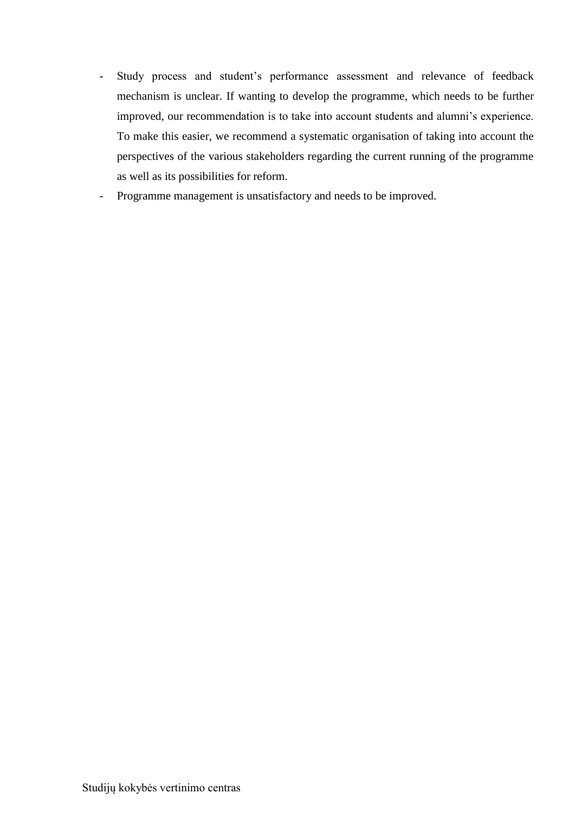- Study process and student's performance assessment and relevance of feedback mechanism is unclear. If wanting to develop the programme, which needs to be further improved, our recommendation is to take into account students and alumni's experience. To make this easier, we recommend a systematic organisation of taking into account the perspectives of the various stakeholders regarding the current running of the programme as well as its possibilities for reform.
- Programme management is unsatisfactory and needs to be improved.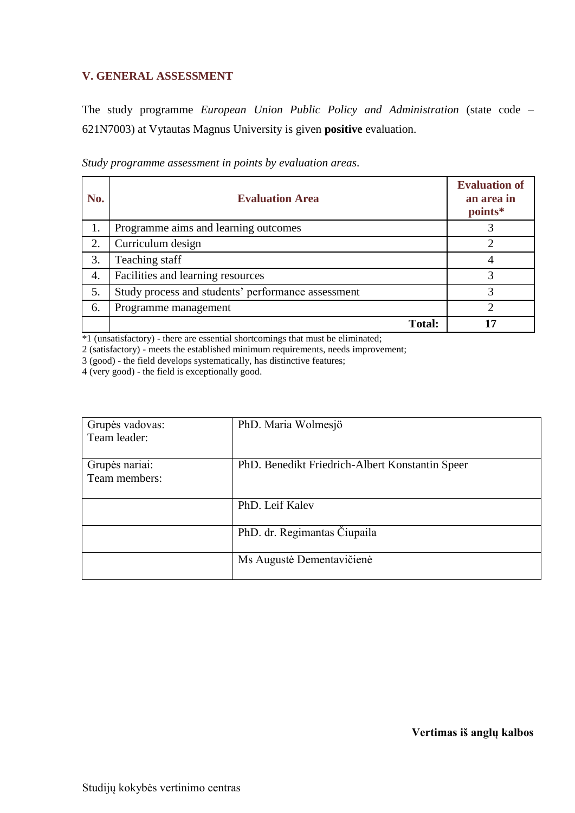#### <span id="page-18-0"></span>**V. GENERAL ASSESSMENT**

The study programme *European Union Public Policy and Administration* (state code – 621N7003) at Vytautas Magnus University is given **positive** evaluation.

| No. | <b>Evaluation Area</b>                             | <b>Evaluation of</b><br>an area in<br>points* |
|-----|----------------------------------------------------|-----------------------------------------------|
| 1.  | Programme aims and learning outcomes               |                                               |
| 2.  | Curriculum design                                  |                                               |
| 3.  | Teaching staff                                     |                                               |
| 4.  | Facilities and learning resources                  | 3                                             |
| 5.  | Study process and students' performance assessment | 3                                             |
| 6.  | Programme management                               | っ                                             |
|     | <b>Total:</b>                                      | רו                                            |

*Study programme assessment in points by evaluation areas*.

\*1 (unsatisfactory) - there are essential shortcomings that must be eliminated;

2 (satisfactory) - meets the established minimum requirements, needs improvement;

3 (good) - the field develops systematically, has distinctive features;

4 (very good) - the field is exceptionally good.

| Grupės vadovas: | PhD. Maria Wolmesjö                             |
|-----------------|-------------------------------------------------|
| Team leader:    |                                                 |
|                 |                                                 |
| Grupės nariai:  | PhD. Benedikt Friedrich-Albert Konstantin Speer |
| Team members:   |                                                 |
|                 |                                                 |
|                 | PhD. Leif Kalev                                 |
|                 |                                                 |
|                 | PhD. dr. Regimantas Čiupaila                    |
|                 |                                                 |
|                 | Ms Augustė Dementavičienė                       |
|                 |                                                 |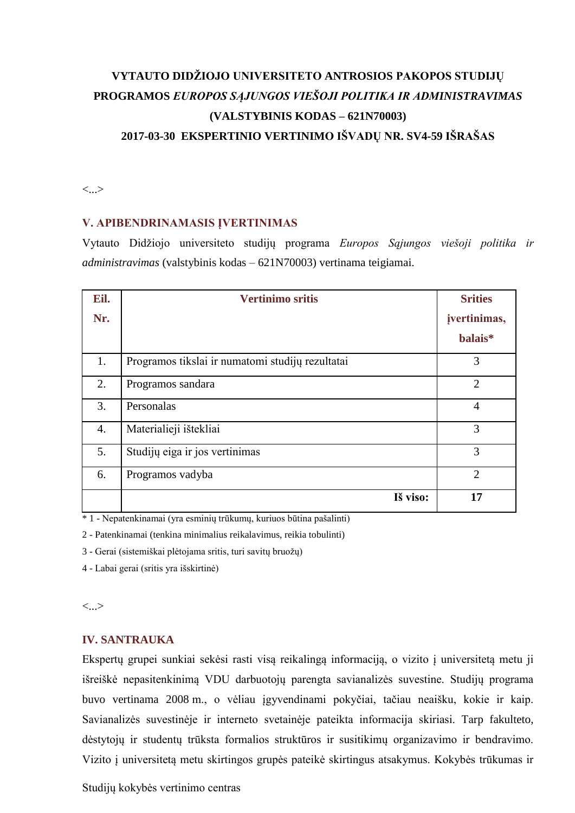# **VYTAUTO DIDŽIOJO UNIVERSITETO ANTROSIOS PAKOPOS STUDIJŲ PROGRAMOS** *EUROPOS SĄJUNGOS VIEŠOJI POLITIKA IR ADMINISTRAVIMAS* **(VALSTYBINIS KODAS – 621N70003) 2017-03-30 EKSPERTINIO VERTINIMO IŠVADŲ NR. SV4-59 IŠRAŠAS**

# <...>

#### **V. APIBENDRINAMASIS ĮVERTINIMAS**

Vytauto Didžiojo universiteto studijų programa *Europos Sąjungos viešoji politika ir administravimas* (valstybinis kodas – 621N70003) vertinama teigiamai.

| Eil. | <b>Vertinimo sritis</b>                          | <b>Srities</b> |
|------|--------------------------------------------------|----------------|
| Nr.  |                                                  | jvertinimas,   |
|      |                                                  | balais*        |
| 1.   | Programos tikslai ir numatomi studijų rezultatai | 3              |
| 2.   | Programos sandara                                | $\overline{2}$ |
| 3.   | Personalas                                       | $\overline{4}$ |
| 4.   | Materialieji ištekliai                           | 3              |
| 5.   | Studijų eiga ir jos vertinimas                   | 3              |
| 6.   | Programos vadyba                                 | $\overline{2}$ |
|      | Iš viso:                                         | 17             |

\* 1 - Nepatenkinamai (yra esminių trūkumų, kuriuos būtina pašalinti)

2 - Patenkinamai (tenkina minimalius reikalavimus, reikia tobulinti)

3 - Gerai (sistemiškai plėtojama sritis, turi savitų bruožų)

4 - Labai gerai (sritis yra išskirtinė)

<...>

#### **IV. SANTRAUKA**

Ekspertų grupei sunkiai sekėsi rasti visą reikalingą informaciją, o vizito į universitetą metu ji išreiškė nepasitenkinimą VDU darbuotojų parengta savianalizės suvestine. Studijų programa buvo vertinama 2008 m., o vėliau įgyvendinami pokyčiai, tačiau neaišku, kokie ir kaip. Savianalizės suvestinėje ir interneto svetainėje pateikta informacija skiriasi. Tarp fakulteto, dėstytojų ir studentų trūksta formalios struktūros ir susitikimų organizavimo ir bendravimo. Vizito į universitetą metu skirtingos grupės pateikė skirtingus atsakymus. Kokybės trūkumas ir

Studijų kokybės vertinimo centras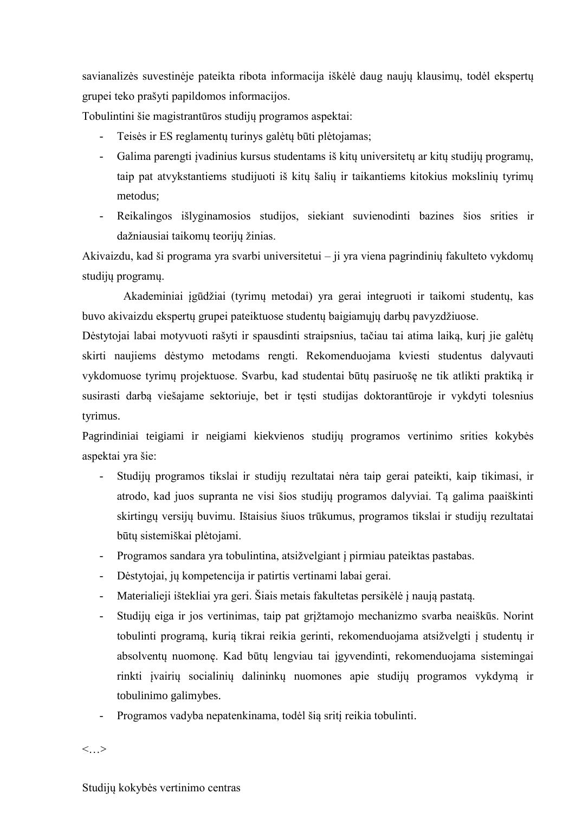savianalizės suvestinėje pateikta ribota informacija iškėlė daug naujų klausimų, todėl ekspertų grupei teko prašyti papildomos informacijos.

Tobulintini šie magistrantūros studijų programos aspektai:

- Teisės ir ES reglamentų turinys galėtų būti plėtojamas;
- Galima parengti įvadinius kursus studentams iš kitų universitetų ar kitų studijų programų, taip pat atvykstantiems studijuoti iš kitų šalių ir taikantiems kitokius mokslinių tyrimų metodus;
- Reikalingos išlyginamosios studijos, siekiant suvienodinti bazines šios srities ir dažniausiai taikomų teorijų žinias.

Akivaizdu, kad ši programa yra svarbi universitetui – ji yra viena pagrindinių fakulteto vykdomų studijų programų.

Akademiniai įgūdžiai (tyrimų metodai) yra gerai integruoti ir taikomi studentų, kas buvo akivaizdu ekspertų grupei pateiktuose studentų baigiamųjų darbų pavyzdžiuose.

Dėstytojai labai motyvuoti rašyti ir spausdinti straipsnius, tačiau tai atima laiką, kurį jie galėtų skirti naujiems dėstymo metodams rengti. Rekomenduojama kviesti studentus dalyvauti vykdomuose tyrimų projektuose. Svarbu, kad studentai būtų pasiruošę ne tik atlikti praktiką ir susirasti darbą viešajame sektoriuje, bet ir tęsti studijas doktorantūroje ir vykdyti tolesnius tyrimus.

Pagrindiniai teigiami ir neigiami kiekvienos studijų programos vertinimo srities kokybės aspektai yra šie:

- Studijų programos tikslai ir studijų rezultatai nėra taip gerai pateikti, kaip tikimasi, ir atrodo, kad juos supranta ne visi šios studijų programos dalyviai. Tą galima paaiškinti skirtingų versijų buvimu. Ištaisius šiuos trūkumus, programos tikslai ir studijų rezultatai būtų sistemiškai plėtojami.
- Programos sandara yra tobulintina, atsižvelgiant į pirmiau pateiktas pastabas.
- Dėstytojai, jų kompetencija ir patirtis vertinami labai gerai.
- Materialieji ištekliai yra geri. Šiais metais fakultetas persikėlė į naują pastatą.
- Studijų eiga ir jos vertinimas, taip pat grįžtamojo mechanizmo svarba neaiškūs. Norint tobulinti programą, kurią tikrai reikia gerinti, rekomenduojama atsižvelgti į studentų ir absolventų nuomonę. Kad būtų lengviau tai įgyvendinti, rekomenduojama sistemingai rinkti įvairių socialinių dalininkų nuomones apie studijų programos vykdymą ir tobulinimo galimybes.
- Programos vadyba nepatenkinama, todėl šią sritį reikia tobulinti.

<…>